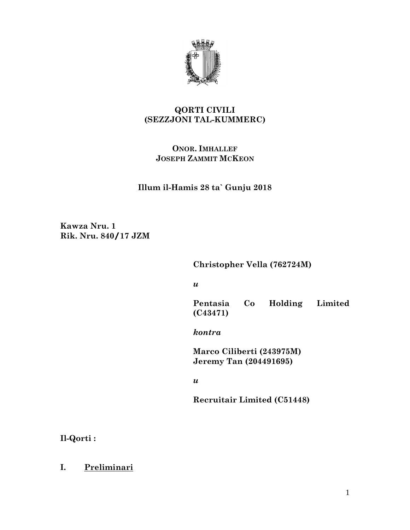

# **QORTI CIVILI (SEZZJONI TAL-KUMMERC)**

# **ONOR. IMHALLEF JOSEPH ZAMMIT MCKEON**

**Illum il-Hamis 28 ta` Gunju 2018**

**Kawza Nru. 1 Rik. Nru. 840/17 JZM**

**Christopher Vella (762724M)** 

*u* 

**Pentasia Co Holding Limited (C43471)**

*kontra*

**Marco Ciliberti (243975M) Jeremy Tan (204491695)** 

*u* 

**Recruitair Limited (C51448)**

**Il-Qorti :**

**I. Preliminari**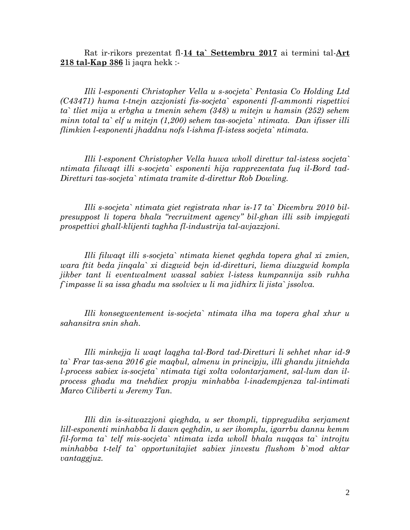Rat ir-rikors prezentat fl-**14 ta` Settembru 2017** ai termini tal-**Art 218 tal-Kap 386** li jaqra hekk :-

*Illi l-esponenti Christopher Vella u s-socjeta` Pentasia Co Holding Ltd (C43471) huma t-tnejn azzjonisti fis-socjeta` esponenti fl-ammonti rispettivi ta` tliet mija u erbgha u tmenin sehem (348) u mitejn u hamsin (252) sehem minn total ta` elf u mitejn (1,200) sehem tas-socjeta` ntimata. Dan ifisser illi flimkien l-esponenti jhaddnu nofs l-ishma fl-istess socjeta` ntimata.*

*Illi l-esponent Christopher Vella huwa wkoll direttur tal-istess socjeta` ntimata filwaqt illi s-socjeta` esponenti hija rapprezentata fuq il-Bord tad-Diretturi tas-socjeta` ntimata tramite d-direttur Rob Dowling.*

*Illi s-socjeta` ntimata giet registrata nhar is-17 ta` Dicembru 2010 bilpresuppost li topera bhala "recruitment agency" bil-ghan illi ssib impjegati prospettivi ghall-klijenti taghha fl-industrija tal-avjazzjoni.*

*Illi filwaqt illi s-socjeta` ntimata kienet qeghda topera ghal xi zmien, wara ftit beda jinqala` xi dizgwid bejn id-diretturi, liema diuzgwid kompla jikber tant li eventwalment wassal sabiex l-istess kumpannija ssib ruhha f`impasse li sa issa ghadu ma ssolviex u li ma jidhirx li jista` jssolva.*

*Illi konsegwentement is-socjeta` ntimata ilha ma topera ghal xhur u sahansitra snin shah.*

*Illi minkejja li waqt laqgha tal-Bord tad-Diretturi li sehhet nhar id-9 ta` Frar tas-sena 2016 gie maqbul, almenu in principju, illi ghandu jitniehda l-process sabiex is-socjeta` ntimata tigi xolta volontarjament, sal-lum dan ilprocess ghadu ma tnehdiex propju minhabba l-inadempjenza tal-intimati Marco Ciliberti u Jeremy Tan.*

*Illi din is-sitwazzjoni qieghda, u ser tkompli, tippregudika serjament lill-esponenti minhabba li dawn qeghdin, u ser ikomplu, igarrbu dannu kemm fil-forma ta` telf mis-socjeta` ntimata izda wkoll bhala nuqqas ta` introjtu minhabba t-telf ta` opportunitajiet sabiex jinvestu flushom b`mod aktar vantaggjuz.*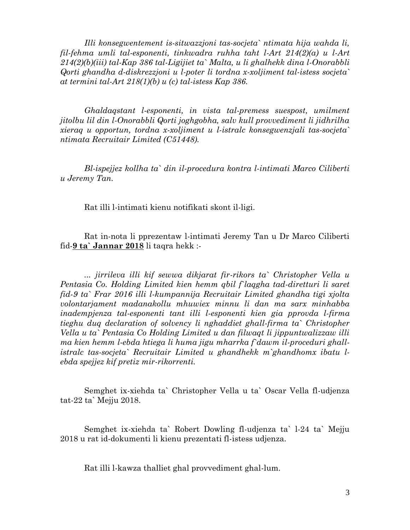*Illi konsegwentement is-sitwazzjoni tas-socjeta` ntimata hija wahda li, fil-fehma umli tal-esponenti, tinkwadra ruhha taht l-Art 214(2)(a) u l-Art 214(2)(b)(iii) tal-Kap 386 tal-Ligijiet ta` Malta, u li ghalhekk dina l-Onorabbli Qorti ghandha d-diskrezzjoni u l-poter li tordna x-xoljiment tal-istess socjeta` at termini tal-Art 218(1)(b) u (c) tal-istess Kap 386.*

*Ghaldaqstant l-esponenti, in vista tal-premess suespost, umilment jitolbu lil din l-Onorabbli Qorti joghgobha, salv kull provvediment li jidhrilha xieraq u opportun, tordna x-xoljiment u l-istralc konsegwenzjali tas-socjeta` ntimata Recruitair Limited (C51448).*

*Bl-ispejjez kollha ta` din il-procedura kontra l-intimati Marco Ciliberti u Jeremy Tan.*

Rat illi l-intimati kienu notifikati skont il-ligi.

Rat in-nota li pprezentaw l-intimati Jeremy Tan u Dr Marco Ciliberti fid-**9 ta` Jannar 2018** li taqra hekk :-

*... jirrileva illi kif sewwa dikjarat fir-rikors ta` Christopher Vella u Pentasia Co. Holding Limited kien hemm qbil f`laqgha tad-diretturi li saret fid-9 ta` Frar 2016 illi l-kumpannija Recruitair Limited ghandha tigi xjolta volontarjament madanakollu mhuwiex minnu li dan ma sarx minhabba inadempjenza tal-esponenti tant illi l-esponenti kien gia pprovda l-firma tieghu duq declaration of solvency li nghaddiet ghall-firma ta` Christopher Vella u ta` Pentasia Co Holding Limited u dan filwaqt li jippuntwalizzaw illi ma kien hemm l-ebda htiega li huma jigu mharrka f`dawm il-proceduri ghallistralc tas-socjeta` Recruitair Limited u ghandhekk m`ghandhomx ibatu lebda spejjez kif pretiz mir-rikorrenti.*

Semghet ix-xiehda ta` Christopher Vella u ta` Oscar Vella fl-udjenza tat-22 ta` Mejju 2018.

Semghet ix-xiehda ta` Robert Dowling fl-udjenza ta` l-24 ta` Mejju 2018 u rat id-dokumenti li kienu prezentati fl-istess udjenza.

Rat illi l-kawza thalliet ghal provvediment ghal-lum.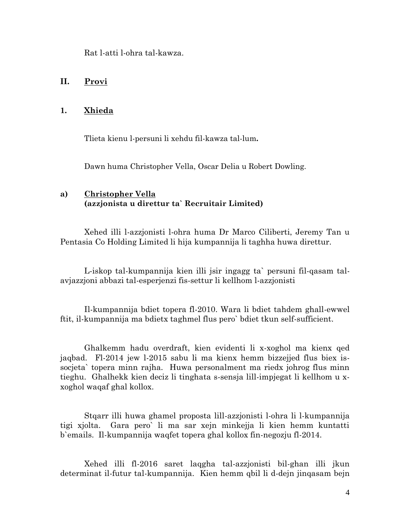Rat l-atti l-ohra tal-kawza.

## **II. Provi**

## **1. Xhieda**

Tlieta kienu l-persuni li xehdu fil-kawza tal-lum**.** 

Dawn huma Christopher Vella, Oscar Delia u Robert Dowling.

## **a) Christopher Vella (azzjonista u direttur ta` Recruitair Limited)**

Xehed illi l-azzjonisti l-ohra huma Dr Marco Ciliberti, Jeremy Tan u Pentasia Co Holding Limited li hija kumpannija li taghha huwa direttur.

L-iskop tal-kumpannija kien illi jsir ingagg ta` persuni fil-qasam talavjazzjoni abbazi tal-esperjenzi fis-settur li kellhom l-azzjonisti

Il-kumpannija bdiet topera fl-2010. Wara li bdiet tahdem ghall-ewwel ftit, il-kumpannija ma bdietx taghmel flus pero` bdiet tkun self-sufficient.

Ghalkemm hadu overdraft, kien evidenti li x-xoghol ma kienx qed jaqbad. Fl-2014 jew l-2015 sabu li ma kienx hemm bizzejjed flus biex issocjeta` topera minn rajha. Huwa personalment ma riedx johrog flus minn tieghu. Ghalhekk kien deciz li tinghata s-sensja lill-impjegat li kellhom u xxoghol waqaf ghal kollox.

Stqarr illi huwa ghamel proposta lill-azzjonisti l-ohra li l-kumpannija tigi xjolta. Gara pero` li ma sar xejn minkejja li kien hemm kuntatti b`emails. Il-kumpannija waqfet topera ghal kollox fin-negozju fl-2014.

Xehed illi fl-2016 saret laqgha tal-azzjonisti bil-ghan illi jkun determinat il-futur tal-kumpannija. Kien hemm qbil li d-dejn jinqasam bejn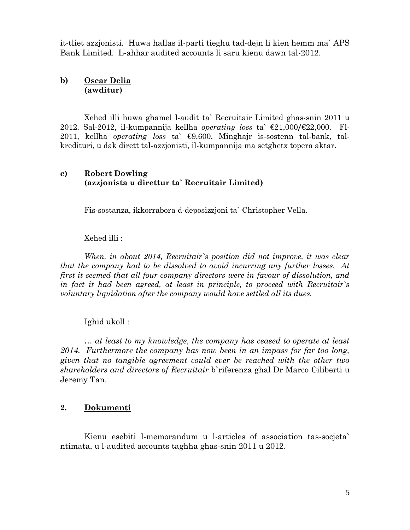it-tliet azzjonisti. Huwa hallas il-parti tieghu tad-dejn li kien hemm ma` APS Bank Limited. L-ahhar audited accounts li saru kienu dawn tal-2012.

## **b) Oscar Delia (awditur)**

Xehed illi huwa ghamel l-audit ta` Recruitair Limited ghas-snin 2011 u 2012. Sal-2012, il-kumpannija kellha *operating loss* ta` €21,000/€22,000. Fl-2011, kellha *operating loss* ta` €9,600. Minghajr is-sostenn tal-bank, talkredituri, u dak dirett tal-azzjonisti, il-kumpannija ma setghetx topera aktar.

## **c) Robert Dowling (azzjonista u direttur ta` Recruitair Limited)**

Fis-sostanza, ikkorrabora d-deposizzjoni ta` Christopher Vella.

## Xehed illi :

*When, in about 2014, Recruitair`s position did not improve, it was clear that the company had to be dissolved to avoid incurring any further losses. At first it seemed that all four company directors were in favour of dissolution, and in fact it had been agreed, at least in principle, to proceed with Recruitair`s voluntary liquidation after the company would have settled all its dues.*

Ighid ukoll :

*… at least to my knowledge, the company has ceased to operate at least 2014. Furthermore the company has now been in an impass for far too long, given that no tangible agreement could ever be reached with the other two shareholders and directors of Recruitair* b`riferenza ghal Dr Marco Ciliberti u Jeremy Tan.

## **2. Dokumenti**

Kienu esebiti l-memorandum u l-articles of association tas-socjeta` ntimata, u l-audited accounts taghha ghas-snin 2011 u 2012.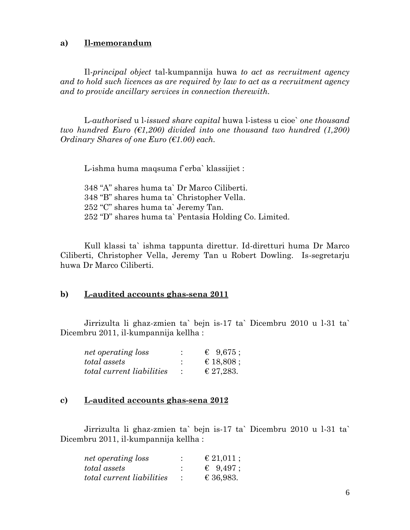### **a) Il-memorandum**

Il-*principal object* tal-kumpannija huwa *to act as recruitment agency and to hold such licences as are required by law to act as a recruitment agency and to provide ancillary services in connection therewith.*

L-*authorised* u l-*issued share capital* huwa l-istess u cioe` *one thousand two hundred Euro (* $\epsilon$ *1,200) divided into one thousand two hundred (1,200) Ordinary Shares of one Euro (€1.00) each.*

L-ishma huma maqsuma f`erba` klassijiet :

348 "A" shares huma ta` Dr Marco Ciliberti. 348 "B" shares huma ta` Christopher Vella. 252 "C" shares huma ta` Jeremy Tan. 252 "D" shares huma ta` Pentasia Holding Co. Limited.

Kull klassi ta` ishma tappunta direttur. Id-diretturi huma Dr Marco Ciliberti, Christopher Vella, Jeremy Tan u Robert Dowling. Is-segretarju huwa Dr Marco Ciliberti.

#### **b) L-audited accounts ghas-sena 2011**

Jirrizulta li ghaz-zmien ta` bejn is-17 ta` Dicembru 2010 u l-31 ta` Dicembru 2011, il-kumpannija kellha :

| net operating loss               | & 9,675;           |
|----------------------------------|--------------------|
| total assets                     | € 18,808;          |
| <i>total current liabilities</i> | $\epsilon$ 27,283. |

#### **c) L-audited accounts ghas-sena 2012**

Jirrizulta li ghaz-zmien ta` bejn is-17 ta` Dicembru 2010 u l-31 ta` Dicembru 2011, il-kumpannija kellha :

| net operating loss        |   | € 21,011 ;        |
|---------------------------|---|-------------------|
| total assets              | ٠ | $\epsilon$ 9.497; |
| total current liabilities |   | € 36,983.         |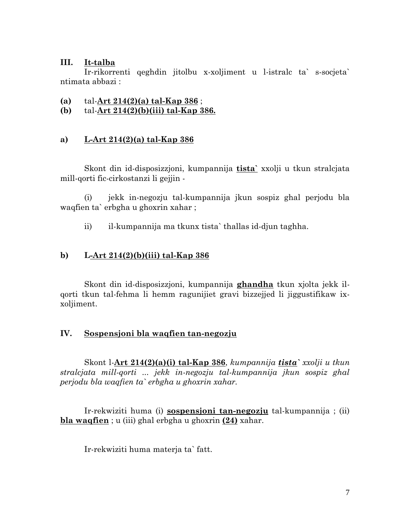## **III. It-talba**

Ir-rikorrenti qeghdin jitolbu x-xoljiment u l-istralc ta` s-socjeta` ntimata abbazi :

- **(a)** tal-**Art 214(2)(a) tal-Kap 386** ;
- **(b)** tal-**Art 214(2)(b)(iii) tal-Kap 386.**

## **a) L-Art 214(2)(a) tal-Kap 386**

Skont din id-disposizzjoni, kumpannija **tista`** xxolji u tkun stralcjata mill-qorti fic-cirkostanzi li gejjin -

(i) jekk in-negozju tal-kumpannija jkun sospiz ghal perjodu bla waqfien ta` erbgha u ghoxrin xahar ;

ii) il-kumpannija ma tkunx tista` thallas id-djun taghha.

# **b) L-Art 214(2)(b)(iii) tal-Kap 386**

Skont din id-disposizzjoni, kumpannija **ghandha** tkun xjolta jekk ilqorti tkun tal-fehma li hemm ragunijiet gravi bizzejjed li jiggustifikaw ixxoljiment.

## **IV. Sospensjoni bla waqfien tan-negozju**

Skont l-**Art 214(2)(a)(i) tal-Kap 386**, *kumpannija tista` xxolji u tkun stralcjata mill-qorti ... jekk in-negozju tal-kumpannija jkun sospiz ghal perjodu bla waqfien ta` erbgha u ghoxrin xahar.*

Ir-rekwiziti huma (i) **sospensjoni tan-negozju** tal-kumpannija ; (ii) **bla waqfien** ; u (iii) ghal erbgha u ghoxrin **(24)** xahar.

Ir-rekwiziti huma materja ta` fatt.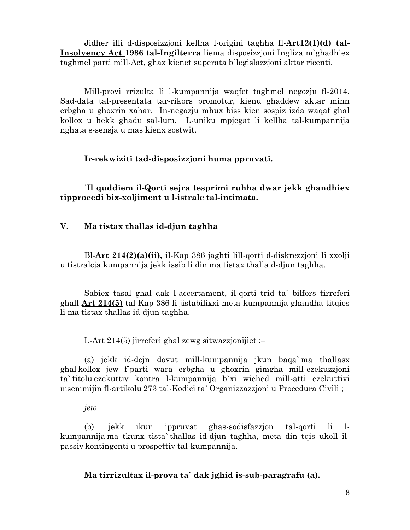Jidher illi d-disposizzjoni kellha l-origini taghha fl-**Art12(1)(d) tal-Insolvency Act 1986 tal-Ingilterra** liema disposizzjoni Ingliza m`ghadhiex taghmel parti mill-Act, ghax kienet superata b`legislazzjoni aktar ricenti.

Mill-provi rrizulta li l-kumpannija waqfet taghmel negozju fl-2014. Sad-data tal-presentata tar-rikors promotur, kienu ghaddew aktar minn erbgha u ghoxrin xahar. In-negozju mhux biss kien sospiz izda waqaf ghal kollox u hekk ghadu sal-lum. L-uniku mpjegat li kellha tal-kumpannija nghata s-sensja u mas kienx sostwit.

**Ir-rekwiziti tad-disposizzjoni huma ppruvati.**

**`Il quddiem il-Qorti sejra tesprimi ruhha dwar jekk ghandhiex tipprocedi bix-xoljiment u l-istralc tal-intimata.**

### **V. Ma tistax thallas id-djun taghha**

Bl-**Art 214(2)(a)(ii),** il-Kap 386 jaghti lill-qorti d-diskrezzjoni li xxolji u tistralcja kumpannija jekk issib li din ma tistax thalla d-djun taghha.

Sabiex tasal ghal dak l-accertament, il-qorti trid ta` bilfors tirreferi ghall-**Art 214(5)** tal-Kap 386 li jistabilixxi meta kumpannija ghandha titqies li ma tistax thallas id-djun taghha.

L-Art 214(5) jirreferi ghal zewg sitwazzjonijiet :–

(a) jekk id-dejn dovut mill-kumpannija jkun baqa` ma thallasx ghal kollox jew f`parti wara erbgha u ghoxrin gimgha mill-ezekuzzjoni ta` titolu ezekuttiv kontra l-kumpannija b`xi wiehed mill-atti ezekuttivi msemmijin fl-artikolu 273 tal-Kodici ta` Organizzazzjoni u Procedura Civili ;

*jew*  

(b) jekk ikun ippruvat ghas-sodisfazzjon tal-qorti li lkumpannija ma tkunx tista` thallas id-djun taghha, meta din tqis ukoll ilpassiv kontingenti u prospettiv tal-kumpannija.

**Ma tirrizultax il-prova ta` dak jghid is-sub-paragrafu (a).**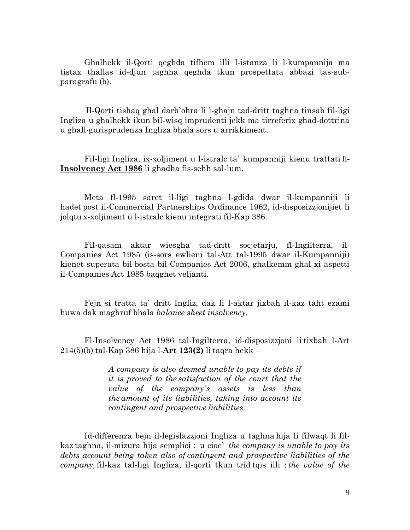Ghalhekk il-Qorti qeghda tifhem illi l-istanza li l-kumpannija ma tistax thallas id-djun taghha qeghda tkun prospettata abbazi tas-subparagrafu (b).

Il-Qorti tishaq ghal darb`ohra li l-ghajn tad-dritt taghna tinsab fil-ligi Ingliza u ghalhekk ikun bil-wisq imprudenti jekk ma tirreferix ghad-dottrina u ghall-gurisprudenza Ingliza bhala sors u arrikkiment.

Fil-ligi Ingliza, ix-xoljiment u l-istralc ta` kumpanniji kienu trattati fl-**Insolvency Act 1986** li ghadha fis-sehh sal-lum.

Meta fl-1995 saret il-ligi taghna l-gdida dwar il-kumpanniji li hadet post il-Commercial Partnerships Ordinance 1962, id-disposizzjonijiet li jolqtu x-xoljiment u l-istralc kienu integrati fil-Kap 386.

Fil-qasam aktar wiesgha tad-dritt socjetarju, fl-Ingilterra, il-Companies Act 1985 (is-sors ewlieni tal-Att tal-1995 dwar il-Kumpanniji) kienet superata bil-bosta bil-Companies Act 2006, ghalkemm ghal xi aspetti il-Companies Act 1985 baqghet veljanti.

Fejn si tratta ta` dritt Ingliz, dak li l-aktar jixbah il-kaz taht ezami huwa dak maghruf bhala *balance sheet insolvency.*

Fl-Insolvency Act 1986 tal-Ingilterra, id-disposizzjoni li tixbah l-Art 214(5)(b) tal-Kap 386 hija l-**Art 123(2)** li taqra hekk –

> *A company is also deemed unable to pay its debts if it is proved to the satisfaction of the court that the value of the company`s assets is less than the amount of its liabilities, taking into account its contingent and prospective liabilities.*

Id-differenza bejn il-legislazzjoni Ingliza u taghna hija li filwaqt li filkaz taghna, il-mizura hija semplici : u cioe` *the company is unable to pay its debts account being taken also of contingent and prospective liabilities of the company,* fil-kaz tal-ligi Ingliza, il-qorti tkun trid tqis illi : *the value of the*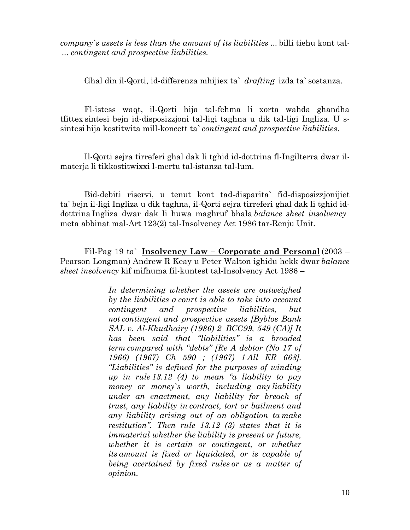*company`s assets is less than the amount of its liabilities ...* billi tiehu kont tal- ... *contingent and prospective liabilities.*

Ghal din il-Qorti, id-differenza mhijiex ta` *drafting* izda ta` sostanza.

Fl-istess waqt, il-Qorti hija tal-fehma li xorta wahda ghandha tfittex sintesi bejn id-disposizzjoni tal-ligi taghna u dik tal-ligi Ingliza. U ssintesi hija kostitwita mill-koncett ta` *contingent and prospective liabilities*.   

Il-Qorti sejra tirreferi ghal dak li tghid id-dottrina fl-Ingilterra dwar ilmaterja li tikkostitwixxi l-mertu tal-istanza tal-lum.

Bid-debiti riservi, u tenut kont tad-disparita` fid-disposizzjonijiet ta` bejn il-ligi Ingliza u dik taghna, il-Qorti sejra tirreferi ghal dak li tghid iddottrina Ingliza dwar dak li huwa maghruf bhala *balance sheet insolvency* meta abbinat mal-Art 123(2) tal-Insolvency Act 1986 tar-Renju Unit.

Fil-Pag 19 ta` **Insolvency Law – Corporate and Personal** (2003 – Pearson Longman) Andrew R Keay u Peter Walton ighidu hekk dwar *balance sheet insolvency* kif mifhuma fil-kuntest tal-Insolvency Act 1986 –

> *In determining whether the assets are outweighed by the liabilities a court is able to take into account contingent and prospective liabilities, but not contingent and prospective assets [Byblos Bank SAL v. Al-Khudhairy (1986) 2 BCC99, 549 (CA)] It has been said that "liabilities" is a broaded term compared with "debts" [Re A debtor (No 17 of 1966) (1967) Ch 590 ; (1967) 1 All ER 668]. "Liabilities" is defined for the purposes of winding up in rule 13.12 (4) to mean "a liability to pay money or money`s worth, including any liability under an enactment, any liability for breach of trust, any liability in contract, tort or bailment and any liability arising out of an obligation ta make restitution". Then rule 13.12 (3) states that it is immaterial whether the liability is present or future, whether it is certain or contingent, or whether its amount is fixed or liquidated, or is capable of being acertained by fixed rules or as a matter of opinion.*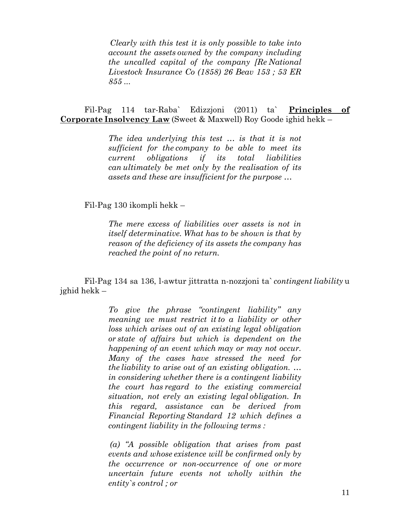*Clearly with this test it is only possible to take into account the assets owned by the company including the uncalled capital of the company [Re National Livestock Insurance Co (1858) 26 Beav 153 ; 53 ER 855 ...*

Fil-Pag 114 tar-Raba` Edizzjoni (2011) ta` **Principles of Corporate Insolvency Law** (Sweet & Maxwell) Roy Goode ighid hekk –

> *The idea underlying this test … is that it is not sufficient for the company to be able to meet its current obligations if its total liabilities can ultimately be met only by the realisation of its assets and these are insufficient for the purpose …*

Fil-Pag 130 ikompli hekk –

*The mere excess of liabilities over assets is not in itself determinative. What has to be shown is that by reason of the deficiency of its assets the company has reached the point of no return.*

Fil-Pag 134 sa 136, l-awtur jittratta n-nozzjoni ta` *contingent liability* u jghid hekk –

> *To give the phrase "contingent liability" any meaning we must restrict it to a liability or other loss which arises out of an existing legal obligation or state of affairs but which is dependent on the happening of an event which may or may not occur. Many of the cases have stressed the need for the liability to arise out of an existing obligation. … in considering whether there is a contingent liability the court has regard to the existing commercial situation, not erely an existing legal obligation. In this regard, assistance can be derived from Financial Reporting Standard 12 which defines a contingent liability in the following terms :*

> *(a) "A possible obligation that arises from past events and whose existence will be confirmed only by the occurrence or non-occurrence of one or more uncertain future events not wholly within the entity`s control ; or*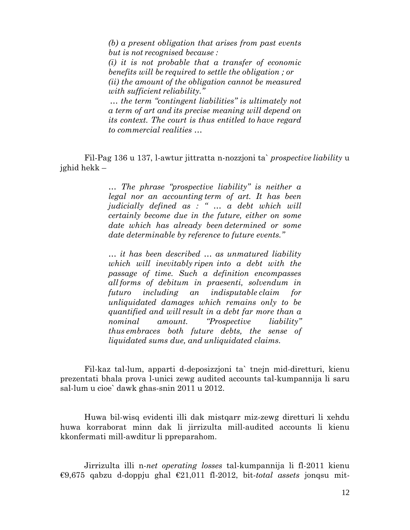*(b) a present obligation that arises from past events but is not recognised because :   (i) it is not probable that a transfer of economic benefits will be required to settle the obligation ; or (ii) the amount of the obligation cannot be measured with sufficient reliability." … the term "contingent liabilities" is ultimately not* 

*a term of art and its precise meaning will depend on its context. The court is thus entitled to have regard to commercial realities …*

Fil-Pag 136 u 137, l-awtur jittratta n-nozzjoni ta` *prospective liability* u jghid hekk –

> *… The phrase "prospective liability" is neither a legal nor an accounting term of art. It has been judicially defined as : " … a debt which will certainly  become due in the future, either on some date which has already been determined or some date determinable by reference to future events."*

> *… it has been described … as unmatured liability which will inevitably ripen  into a debt with the passage of time. Such a definition encompasses all forms of debitum in praesenti, solvendum in futuro including an indisputable claim for unliquidated damages which remains only to be quantified and will result in a debt far more than a nominal amount. "Prospective liability" thus embraces both future debts, the sense of liquidated sums due, and unliquidated claims.*

Fil-kaz tal-lum, apparti d-deposizzjoni ta` tnejn mid-diretturi, kienu prezentati bhala prova l-unici zewg audited accounts tal-kumpannija li saru sal-lum u cioe` dawk ghas-snin 2011 u 2012.

Huwa bil-wisq evidenti illi dak mistqarr miz-zewg diretturi li xehdu huwa korraborat minn dak li jirrizulta mill-audited accounts li kienu kkonfermati mill-awditur li ppreparahom.

Jirrizulta illi n-*net operating losses* tal-kumpannija li fl-2011 kienu €9,675 qabzu d-doppju ghal €21,011 fl-2012, bit-*total assets* jonqsu mit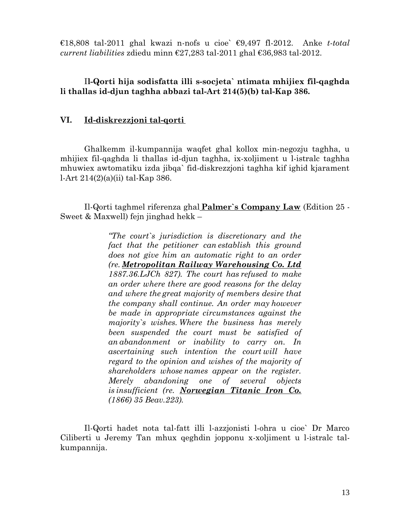€18,808 tal-2011 ghal kwazi n-nofs u cioe` €9,497 fl-2012. Anke *t-total current liabilities* zdiedu minn €27,283 tal-2011 ghal €36,983 tal-2012.

## I**l-Qorti hija sodisfatta illi s-socjeta` ntimata mhijiex fil-qaghda li thallas id-djun taghha abbazi tal-Art 214(5)(b) tal-Kap 386.**

## **VI. Id-diskrezzjoni tal-qorti**

Ghalkemm il-kumpannija waqfet ghal kollox min-negozju taghha, u mhijiex fil-qaghda li thallas id-djun taghha, ix-xoljiment u l-istralc taghha mhuwiex awtomatiku izda jibqa` fid-diskrezzjoni taghha kif ighid kjarament l-Art 214(2)(a)(ii) tal-Kap 386.

Il-Qorti taghmel riferenza ghal **Palmer`s Company Law** (Edition 25 - Sweet & Maxwell) fejn jinghad hekk –

> *"The court`s jurisdiction is discretionary and the fact that the petitioner can establish this ground does not give him an automatic right to an order (re. Metropolitan Railway Warehousing Co. Ltd 1887.36.LJCh 827). The court has refused to make an order where there are good reasons for the delay and where the great majority of members desire that the company shall continue. An order may however be made in appropriate circumstances against the majority`s wishes. Where the business has merely been suspended the court must be satisfied of an abandonment or inability to carry on. In ascertaining such intention the court will have regard to the opinion and wishes of the majority of shareholders whose names appear on the register. Merely abandoning one of several objects is insufficient (re. Norwegian Titanic Iron Co. (1866) 35 Beav.223).*

Il-Qorti hadet nota tal-fatt illi l-azzjonisti l-ohra u cioe` Dr Marco Ciliberti u Jeremy Tan mhux qeghdin jopponu x-xoljiment u l-istralc talkumpannija.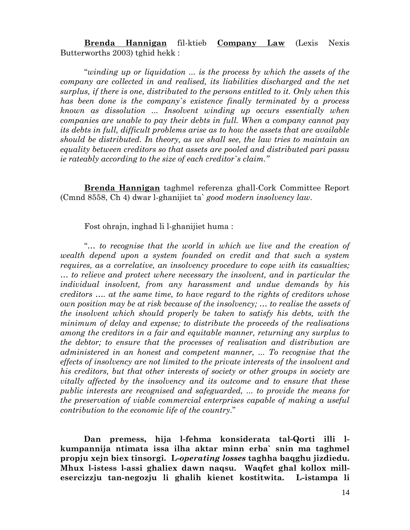**Brenda Hannigan** fil-ktieb **Company Law** (Lexis Nexis Butterworths 2003) tghid hekk :

"*winding up or liquidation ... is the process by which the assets of the company are collected in and realised, its liabilities discharged and the net surplus, if there is one, distributed to the persons entitled to it. Only when this has been done is the company`s existence finally terminated by a process known as dissolution ... Insolvent winding up occurs essentially when companies are unable to pay their debts in full. When a company cannot pay its debts in full, difficult problems arise as to how the assets that are available should be distributed. In theory, as we shall see, the law tries to maintain an equality between creditors so that assets are pooled and distributed pari passu ie rateably according to the size of each creditor`s claim."* 

**Brenda Hannigan** taghmel referenza ghall-Cork Committee Report (Cmnd 8558, Ch 4) dwar l-ghanijiet ta` *good modern insolvency law*.

Fost ohrajn, inghad li l-ghanijiet huma :

"*… to recognise that the world in which we live and the creation of wealth depend upon a system founded on credit and that such a system requires, as a correlative, an insolvency procedure to cope with its casualties; … to relieve and protect where necessary the insolvent, and in particular the individual insolvent, from any harassment and undue demands by his creditors …. at the same time, to have regard to the rights of creditors whose own position may be at risk because of the insolvency; … to realise the assets of the insolvent which should properly be taken to satisfy his debts, with the minimum of delay and expense; to distribute the proceeds of the realisations among the creditors in a fair and equitable manner, returning any surplus to the debtor; to ensure that the processes of realisation and distribution are administered in an honest and competent manner, ... To recognise that the effects of insolvency are not limited to the private interests of the insolvent and his creditors, but that other interests of society or other groups in society are vitally affected by the insolvency and its outcome and to ensure that these public interests are recognised and safeguarded, ... to provide the means for the preservation of viable commercial enterprises capable of making a useful contribution to the economic life of the country.*"

**Dan premess, hija l-fehma konsiderata tal-Qorti illi lkumpannija ntimata issa ilha aktar minn erba` snin ma taghmel propju xejn biex tinsorgi. L-***operating losses* **taghha baqghu jizdiedu. Mhux l-istess l-assi ghaliex dawn naqsu. Waqfet ghal kollox millesercizzju tan-negozju li ghalih kienet kostitwita. L-istampa li**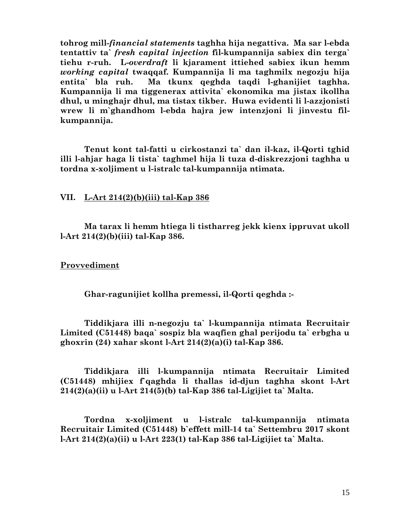**tohrog mill-***financial statements* **taghha hija negattiva. Ma sar l-ebda tentattiv ta`** *fresh capital injection* **fil-kumpannija sabiex din terga` tiehu r-ruh. L-***overdraft* **li kjarament ittiehed sabiex ikun hemm**  *working capital* **twaqqaf. Kumpannija li ma taghmilx negozju hija entita` bla ruh. Ma tkunx qeghda taqdi l-ghanijiet taghha. Kumpannija li ma tiggenerax attivita` ekonomika ma jistax ikollha dhul, u minghajr dhul, ma tistax tikber. Huwa evidenti li l-azzjonisti wrew li m`ghandhom l-ebda hajra jew intenzjoni li jinvestu filkumpannija.** 

**Tenut kont tal-fatti u cirkostanzi ta` dan il-kaz, il-Qorti tghid illi l-ahjar haga li tista` taghmel hija li tuza d-diskrezzjoni taghha u tordna x-xoljiment u l-istralc tal-kumpannija ntimata.**

## **VII. L-Art 214(2)(b)(iii) tal-Kap 386**

**Ma tarax li hemm htiega li tistharreg jekk kienx ippruvat ukoll l-Art 214(2)(b)(iii) tal-Kap 386.**

### **Provvediment**

**Ghar-ragunijiet kollha premessi, il-Qorti qeghda :-** 

**Tiddikjara illi n-negozju ta` l-kumpannija ntimata Recruitair Limited (C51448) baqa` sospiz bla waqfien ghal perijodu ta` erbgha u ghoxrin (24) xahar skont l-Art 214(2)(a)(i) tal-Kap 386.**

**Tiddikjara illi l-kumpannija ntimata Recruitair Limited (C51448) mhijiex f`qaghda li thallas id-djun taghha skont l-Art 214(2)(a)(ii) u l-Art 214(5)(b) tal-Kap 386 tal-Ligijiet ta` Malta.**

**Tordna x-xoljiment u l-istralc tal-kumpannija ntimata Recruitair Limited (C51448) b`effett mill-14 ta` Settembru 2017 skont l-Art 214(2)(a)(ii) u l-Art 223(1) tal-Kap 386 tal-Ligijiet ta` Malta.**